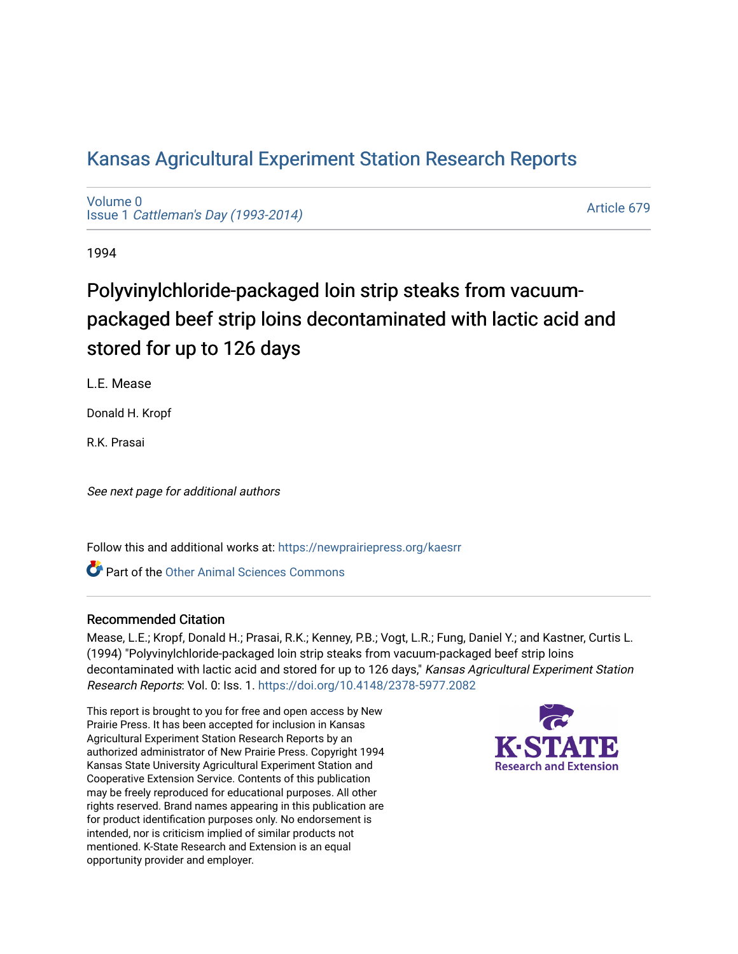# [Kansas Agricultural Experiment Station Research Reports](https://newprairiepress.org/kaesrr)

[Volume 0](https://newprairiepress.org/kaesrr/vol0) Issue 1 [Cattleman's Day \(1993-2014\)](https://newprairiepress.org/kaesrr/vol0/iss1) 

[Article 679](https://newprairiepress.org/kaesrr/vol0/iss1/679) 

1994

# Polyvinylchloride-packaged loin strip steaks from vacuumpackaged beef strip loins decontaminated with lactic acid and stored for up to 126 days

L.E. Mease

Donald H. Kropf

R.K. Prasai

See next page for additional authors

Follow this and additional works at: [https://newprairiepress.org/kaesrr](https://newprairiepress.org/kaesrr?utm_source=newprairiepress.org%2Fkaesrr%2Fvol0%2Fiss1%2F679&utm_medium=PDF&utm_campaign=PDFCoverPages) 

**C** Part of the [Other Animal Sciences Commons](http://network.bepress.com/hgg/discipline/82?utm_source=newprairiepress.org%2Fkaesrr%2Fvol0%2Fiss1%2F679&utm_medium=PDF&utm_campaign=PDFCoverPages)

#### Recommended Citation

Mease, L.E.; Kropf, Donald H.; Prasai, R.K.; Kenney, P.B.; Vogt, L.R.; Fung, Daniel Y.; and Kastner, Curtis L. (1994) "Polyvinylchloride-packaged loin strip steaks from vacuum-packaged beef strip loins decontaminated with lactic acid and stored for up to 126 days," Kansas Agricultural Experiment Station Research Reports: Vol. 0: Iss. 1.<https://doi.org/10.4148/2378-5977.2082>

This report is brought to you for free and open access by New Prairie Press. It has been accepted for inclusion in Kansas Agricultural Experiment Station Research Reports by an authorized administrator of New Prairie Press. Copyright 1994 Kansas State University Agricultural Experiment Station and Cooperative Extension Service. Contents of this publication may be freely reproduced for educational purposes. All other rights reserved. Brand names appearing in this publication are for product identification purposes only. No endorsement is intended, nor is criticism implied of similar products not mentioned. K-State Research and Extension is an equal opportunity provider and employer.

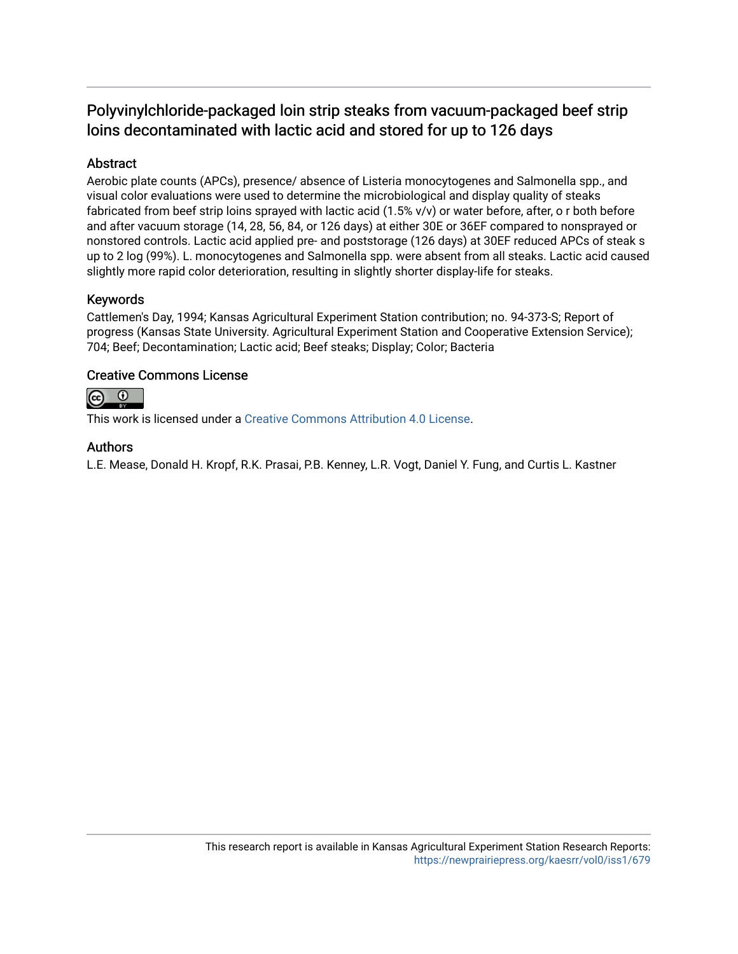# Polyvinylchloride-packaged loin strip steaks from vacuum-packaged beef strip loins decontaminated with lactic acid and stored for up to 126 days

## Abstract

Aerobic plate counts (APCs), presence/ absence of Listeria monocytogenes and Salmonella spp., and visual color evaluations were used to determine the microbiological and display quality of steaks fabricated from beef strip loins sprayed with lactic acid (1.5% v/v) or water before, after, o r both before and after vacuum storage (14, 28, 56, 84, or 126 days) at either 30E or 36EF compared to nonsprayed or nonstored controls. Lactic acid applied pre- and poststorage (126 days) at 30EF reduced APCs of steak s up to 2 log (99%). L. monocytogenes and Salmonella spp. were absent from all steaks. Lactic acid caused slightly more rapid color deterioration, resulting in slightly shorter display-life for steaks.

## Keywords

Cattlemen's Day, 1994; Kansas Agricultural Experiment Station contribution; no. 94-373-S; Report of progress (Kansas State University. Agricultural Experiment Station and Cooperative Extension Service); 704; Beef; Decontamination; Lactic acid; Beef steaks; Display; Color; Bacteria

## Creative Commons License



This work is licensed under a [Creative Commons Attribution 4.0 License](https://creativecommons.org/licenses/by/4.0/).

## Authors

L.E. Mease, Donald H. Kropf, R.K. Prasai, P.B. Kenney, L.R. Vogt, Daniel Y. Fung, and Curtis L. Kastner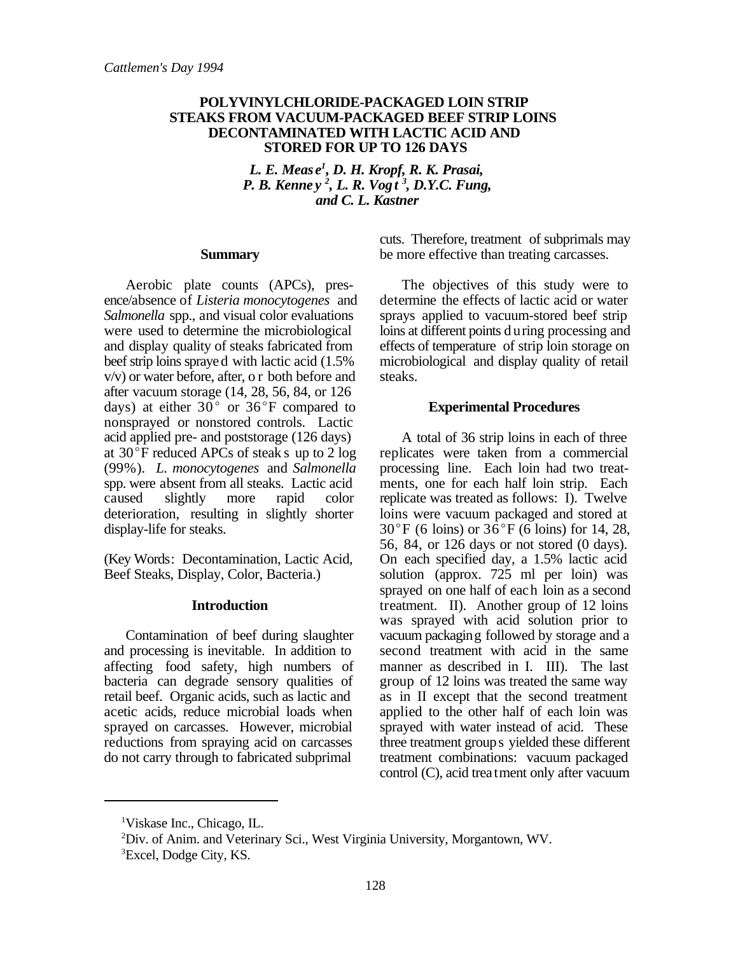#### **POLYVINYLCHLORIDE-PACKAGED LOIN STRIP STEAKS FROM VACUUM-PACKAGED BEEF STRIP LOINS DECONTAMINATED WITH LACTIC ACID AND STORED FOR UP TO 126 DAYS**

*L. E. Meas e<sup>1</sup>, D. H. Kropf, R. K. Prasai, P. B. Kenney*<sup>2</sup>, *L. R. Vogt<sup>3</sup>*, *D.Y.C. Fung*, *and C. L. Kastner*

#### **Summary**

Aerobic plate counts (APCs), presence/absence of *Listeria monocytogenes* and *Salmonella* spp., and visual color evaluations were used to determine the microbiological and display quality of steaks fabricated from beef strip loins sprayed with lactic acid (1.5% v/v) or water before, after, o r both before and after vacuum storage (14, 28, 56, 84, or 126 days) at either  $30^{\circ}$  or  $36^{\circ}$ F compared to nonsprayed or nonstored controls. Lactic acid applied pre- and poststorage (126 days) at  $30^{\circ}$ F reduced APCs of steak s up to 2 log (99%). *L. monocytogenes* and *Salmonella* spp. were absent from all steaks. Lactic acid caused slightly more rapid color deterioration, resulting in slightly shorter display-life for steaks.

(Key Words: Decontamination, Lactic Acid, Beef Steaks, Display, Color, Bacteria.)

#### **Introduction**

Contamination of beef during slaughter and processing is inevitable. In addition to affecting food safety, high numbers of bacteria can degrade sensory qualities of retail beef. Organic acids, such as lactic and acetic acids, reduce microbial loads when sprayed on carcasses. However, microbial reductions from spraying acid on carcasses do not carry through to fabricated subprimal

cuts. Therefore, treatment of subprimals may be more effective than treating carcasses.

The objectives of this study were to determine the effects of lactic acid or water sprays applied to vacuum-stored beef strip loins at different points d uring processing and effects of temperature of strip loin storage on microbiological and display quality of retail steaks.

#### **Experimental Procedures**

A total of 36 strip loins in each of three replicates were taken from a commercial processing line. Each loin had two treatments, one for each half loin strip. Each replicate was treated as follows: I). Twelve loins were vacuum packaged and stored at  $30^{\circ}$ F (6 loins) or  $36^{\circ}$ F (6 loins) for 14, 28, 56, 84, or 126 days or not stored (0 days). On each specified day, a 1.5% lactic acid solution (approx. 725 ml per loin) was sprayed on one half of each loin as a second treatment. II). Another group of 12 loins was sprayed with acid solution prior to vacuum packaging followed by storage and a second treatment with acid in the same manner as described in I. III). The last group of 12 loins was treated the same way as in II except that the second treatment applied to the other half of each loin was sprayed with water instead of acid. These three treatment groups yielded these different treatment combinations: vacuum packaged control (C), acid treatment only after vacuum

<sup>&</sup>lt;sup>1</sup>Viskase Inc., Chicago, IL.

 ${}^{2}$ Div. of Anim. and Veterinary Sci., West Virginia University, Morgantown, WV. <sup>3</sup>Excel, Dodge City, KS.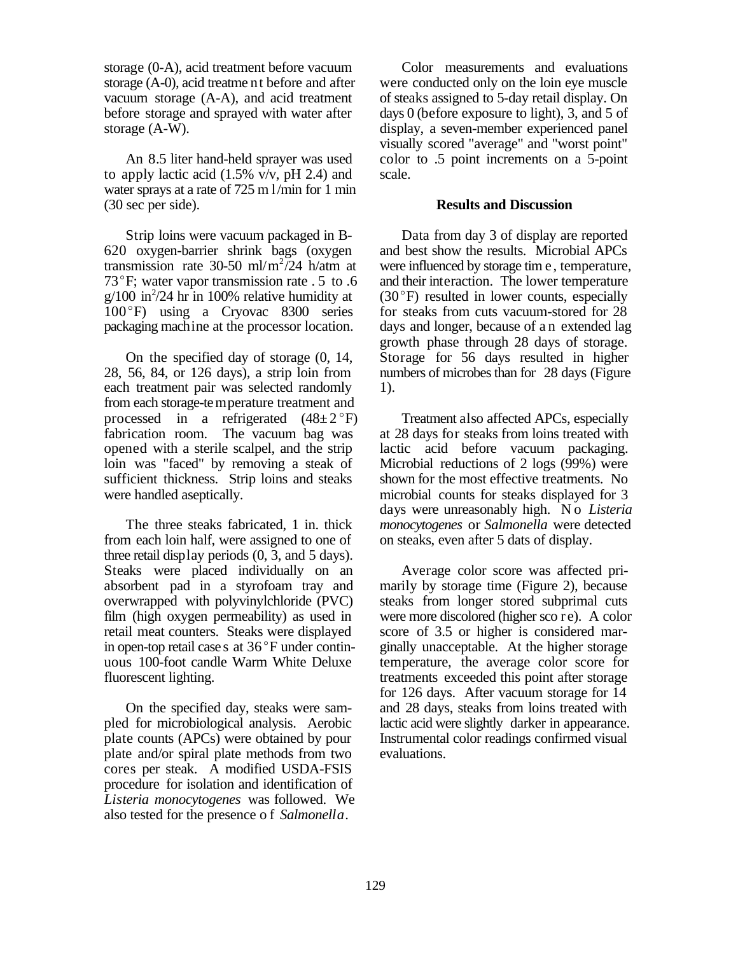storage (0-A), acid treatment before vacuum storage (A-0), acid treatme nt before and after vacuum storage (A-A), and acid treatment before storage and sprayed with water after storage (A-W).

An 8.5 liter hand-held sprayer was used to apply lactic acid  $(1.5\%$  v/v, pH 2.4) and water sprays at a rate of 725 m l/min for 1 min (30 sec per side).

Strip loins were vacuum packaged in B-620 oxygen-barrier shrink bags (oxygen transmission rate 30-50 ml/m<sup>2</sup>/24 h/atm at 73 $\degree$ F; water vapor transmission rate  $.5$  to  $.6$  $g/100$  in  $\frac{2}{4}$  hr in 100% relative humidity at 100°F) using a Cryovac 8300 series packaging machine at the processor location.

On the specified day of storage (0, 14, 28, 56, 84, or 126 days), a strip loin from each treatment pair was selected randomly from each storage-temperature treatment and processed in a refrigerated  $(48\pm2\degree F)$ fabrication room. The vacuum bag was opened with a sterile scalpel, and the strip loin was "faced" by removing a steak of sufficient thickness. Strip loins and steaks were handled aseptically.

The three steaks fabricated, 1 in. thick from each loin half, were assigned to one of three retail display periods (0, 3, and 5 days). Steaks were placed individually on an absorbent pad in a styrofoam tray and overwrapped with polyvinylchloride (PVC) film (high oxygen permeability) as used in retail meat counters. Steaks were displayed in open-top retail case s at  $36^{\circ}$ F under continuous 100-foot candle Warm White Deluxe fluorescent lighting.

On the specified day, steaks were sampled for microbiological analysis. Aerobic plate counts (APCs) were obtained by pour plate and/or spiral plate methods from two cores per steak. A modified USDA-FSIS procedure for isolation and identification of *Listeria monocytogenes* was followed. We also tested for the presence o f *Salmonella*.

Color measurements and evaluations were conducted only on the loin eye muscle of steaks assigned to 5-day retail display. On days 0 (before exposure to light), 3, and 5 of display, a seven-member experienced panel visually scored "average" and "worst point" color to .5 point increments on a 5-point scale.

#### **Results and Discussion**

Data from day 3 of display are reported and best show the results. Microbial APCs were influenced by storage tim e, temperature, and their interaction. The lower temperature  $(30^{\circ}F)$  resulted in lower counts, especially for steaks from cuts vacuum-stored for 28 days and longer, because of a n extended lag growth phase through 28 days of storage. Storage for 56 days resulted in higher numbers of microbes than for 28 days (Figure 1).

Treatment also affected APCs, especially at 28 days for steaks from loins treated with lactic acid before vacuum packaging. Microbial reductions of 2 logs (99%) were shown for the most effective treatments. No microbial counts for steaks displayed for 3 days were unreasonably high. N o *Listeria monocytogenes* or *Salmonella* were detected on steaks, even after 5 dats of display.

Average color score was affected primarily by storage time (Figure 2), because steaks from longer stored subprimal cuts were more discolored (higher sco r e). A color score of 3.5 or higher is considered marginally unacceptable. At the higher storage temperature, the average color score for treatments exceeded this point after storage for 126 days. After vacuum storage for 14 and 28 days, steaks from loins treated with lactic acid were slightly darker in appearance. Instrumental color readings confirmed visual evaluations.